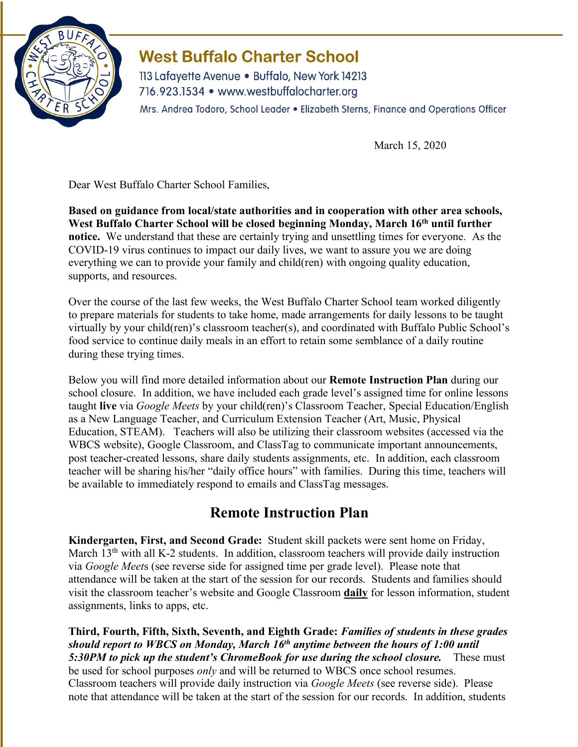

## **West Buffalo Charter School**

113 Lafayette Avenue • Buffalo, New York 14213 716.923.1534 • www.westbuffalocharter.org Mrs. Andrea Todoro, School Leader . Elizabeth Sterns, Finance and Operations Officer

March 15, 2020

Dear West Buffalo Charter School Families,

**Based on guidance from local/state authorities and in cooperation with other area schools, West Buffalo Charter School will be closed beginning Monday, March 16th until further notice.** We understand that these are certainly trying and unsettling times for everyone. As the COVID-19 virus continues to impact our daily lives, we want to assure you we are doing everything we can to provide your family and child(ren) with ongoing quality education, supports, and resources.

Over the course of the last few weeks, the West Buffalo Charter School team worked diligently to prepare materials for students to take home, made arrangements for daily lessons to be taught virtually by your child(ren)'s classroom teacher(s), and coordinated with Buffalo Public School's food service to continue daily meals in an effort to retain some semblance of a daily routine during these trying times.

Below you will find more detailed information about our **Remote Instruction Plan** during our school closure. In addition, we have included each grade level's assigned time for online lessons taught **live** via *Google Meets* by your child(ren)'s Classroom Teacher, Special Education/English as a New Language Teacher, and Curriculum Extension Teacher (Art, Music, Physical Education, STEAM). Teachers will also be utilizing their classroom websites (accessed via the WBCS website), Google Classroom, and ClassTag to communicate important announcements, post teacher-created lessons, share daily students assignments, etc. In addition, each classroom teacher will be sharing his/her "daily office hours" with families. During this time, teachers will be available to immediately respond to emails and ClassTag messages.

## **Remote Instruction Plan**

**Kindergarten, First, and Second Grade:** Student skill packets were sent home on Friday, March 13<sup>th</sup> with all K-2 students. In addition, classroom teachers will provide daily instruction via *Google Meet*s (see reverse side for assigned time per grade level). Please note that attendance will be taken at the start of the session for our records. Students and families should visit the classroom teacher's website and Google Classroom **daily** for lesson information, student assignments, links to apps, etc.

**Third, Fourth, Fifth, Sixth, Seventh, and Eighth Grade:** *Families of students in these grades should report to WBCS on Monday, March 16th anytime between the hours of 1:00 until 5:30PM to pick up the student's ChromeBook for use during the school closure.* These must be used for school purposes *only* and will be returned to WBCS once school resumes. Classroom teachers will provide daily instruction via *Google Meets* (see reverse side). Please note that attendance will be taken at the start of the session for our records. In addition, students